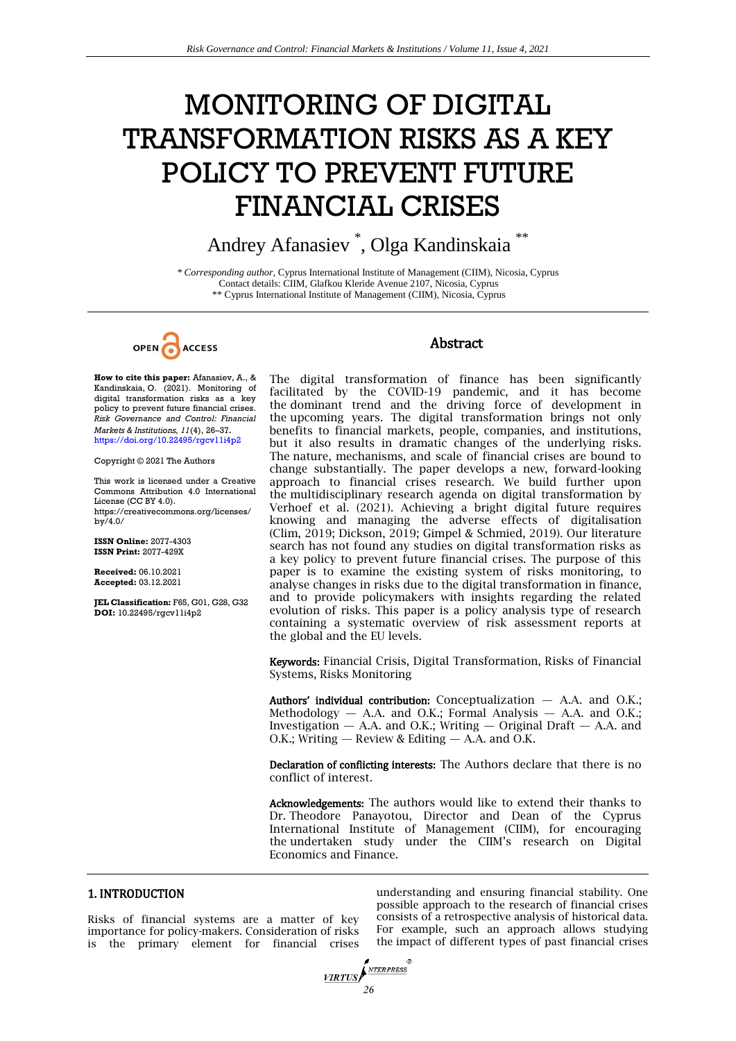# MONITORING OF DIGITAL TRANSFORMATION RISKS AS A KEY POLICY TO PREVENT FUTURE FINANCIAL CRISES

Andrey Afanasiev \* , Olga Kandinskaia \*\*

*\* Corresponding author,* Cyprus International Institute of Management (CIIM), Nicosia, Cyprus Contact details: CIIM, Glafkou Kleride Avenue 2107, Nicosia, Cyprus \*\* Cyprus International Institute of Management (CIIM), Nicosia, Cyprus



**How to cite this paper:** Afanasiev, A., & Kandinskaia, O. (2021). Monitoring of digital transformation risks as a key policy to prevent future financial crises. *Risk Governance and Control: Financial Markets & Institutions, 11*(4), 26–37. <https://doi.org/10.22495/rgcv11i4p2>

Copyright © 2021 The Authors

This work is licensed under a Creative Commons Attribution 4.0 International License (CC BY 4.0). [https://creativecommons.org/licenses/](https://creativecommons.org/licenses/by/4.0/) [by/4.0/](https://creativecommons.org/licenses/by/4.0/)

**ISSN Online:** 2077-4303 **ISSN Print:** 2077-429X

**Received:** 06.10.2021 **Accepted:** 03.12.2021

**JEL Classification:** F65, G01, G28, G32 **DOI:** 10.22495/rgcv11i4p2

# Abstract

The digital transformation of finance has been significantly facilitated by the COVID-19 pandemic, and it has become the dominant trend and the driving force of development in the upcoming years. The digital transformation brings not only benefits to financial markets, people, companies, and institutions, but it also results in dramatic changes of the underlying risks. The nature, mechanisms, and scale of financial crises are bound to change substantially. The paper develops a new, forward-looking approach to financial crises research. We build further upon the multidisciplinary research agenda on digital transformation by Verhoef et al. (2021). Achieving a bright digital future requires knowing and managing the adverse effects of digitalisation (Clim, 2019; Dickson, 2019; Gimpel & Schmied, 2019). Our literature search has not found any studies on digital transformation risks as a key policy to prevent future financial crises. The purpose of this paper is to examine the existing system of risks monitoring, to analyse changes in risks due to the digital transformation in finance, and to provide policymakers with insights regarding the related evolution of risks. This paper is a policy analysis type of research containing a systematic overview of risk assessment reports at the global and the EU levels.

Keywords: Financial Crisis, Digital Transformation, Risks of Financial Systems, Risks Monitoring

Authors' individual contribution: Conceptualization  $-$  A.A. and O.K.; Methodology — A.A. and O.K.; Formal Analysis — A.A. and O.K.; Investigation — A.A. and O.K.; Writing — Original Draft — A.A. and O.K.; Writing  $-$  Review & Editing  $-$  A.A. and O.K.

Declaration of conflicting interests: The Authors declare that there is no conflict of interest.

Acknowledgements: The authors would like to extend their thanks to Dr. Theodore Panayotou, Director and Dean of the Cyprus International Institute of Management (CIIM), for encouraging the undertaken study under the CIIM's research on Digital Economics and Finance.

# 1. INTRODUCTION

Risks of financial systems are a matter of key importance for policy-makers. Consideration of risks is the primary element for financial crises

understanding and ensuring financial stability. One possible approach to the research of financial crises consists of a retrospective analysis of historical data. For example, such an approach allows studying the impact of different types of past financial crises

*<u>VIRTUS</u>*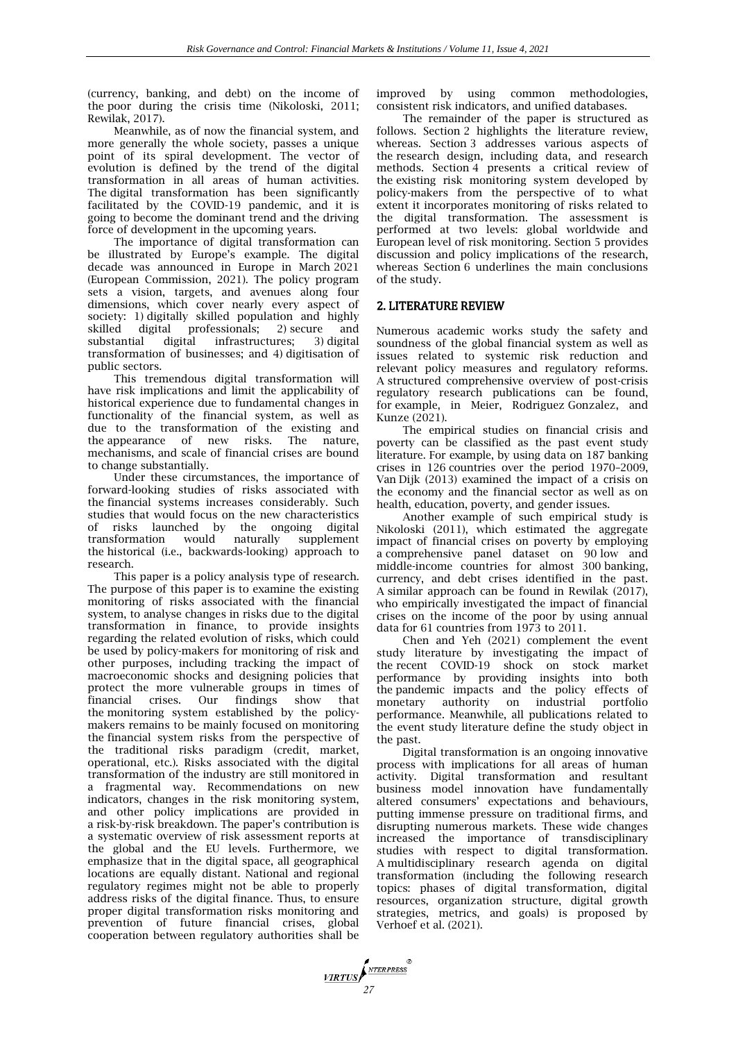(currency, banking, and debt) on the income of the poor during the crisis time (Nikoloski, 2011; Rewilak, 2017).

Meanwhile, as of now the financial system, and more generally the whole society, passes a unique point of its spiral development. The vector of evolution is defined by the trend of the digital transformation in all areas of human activities. The digital transformation has been significantly facilitated by the COVID-19 pandemic, and it is going to become the dominant trend and the driving force of development in the upcoming years.

The importance of digital transformation can be illustrated by Europe's example. The digital decade was announced in Europe in March 2021 (European Commission, 2021). The policy program sets a vision, targets, and avenues along four dimensions, which cover nearly every aspect of society: 1) digitally skilled population and highly<br>skilled digital professionals; 2) secure and skilled digital professionals; 2) secure and<br>substantial digital infrastructures; 3) digital infrastructures; 3) digital transformation of businesses; and 4) digitisation of public sectors.

This tremendous digital transformation will have risk implications and limit the applicability of historical experience due to fundamental changes in functionality of the financial system, as well as due to the transformation of the existing and<br>the appearance of new risks. The nature, the appearance of new risks. The nature, mechanisms, and scale of financial crises are bound to change substantially.

Under these circumstances, the importance of forward-looking studies of risks associated with the financial systems increases considerably. Such studies that would focus on the new characteristics of risks launched by the ongoing digital transformation would naturally supplement the historical (i.e., backwards-looking) approach to research.

This paper is a policy analysis type of research. The purpose of this paper is to examine the existing monitoring of risks associated with the financial system, to analyse changes in risks due to the digital transformation in finance, to provide insights regarding the related evolution of risks, which could be used by policy-makers for monitoring of risk and other purposes, including tracking the impact of macroeconomic shocks and designing policies that protect the more vulnerable groups in times of financial crises. Our findings show that the monitoring system established by the policymakers remains to be mainly focused on monitoring the financial system risks from the perspective of the traditional risks paradigm (credit, market, operational, etc.). Risks associated with the digital transformation of the industry are still monitored in a fragmental way. Recommendations on new indicators, changes in the risk monitoring system, and other policy implications are provided in a risk-by-risk breakdown. The paper's contribution is a systematic overview of risk assessment reports at the global and the EU levels. Furthermore, we emphasize that in the digital space, all geographical locations are equally distant. National and regional regulatory regimes might not be able to properly address risks of the digital finance. Thus, to ensure proper digital transformation risks monitoring and prevention of future financial crises, global cooperation between regulatory authorities shall be

improved by using common methodologies, consistent risk indicators, and unified databases.

The remainder of the paper is structured as follows. Section 2 highlights the literature review, whereas. Section 3 addresses various aspects of the research design, including data, and research methods. Section 4 presents a critical review of the existing risk monitoring system developed by policy-makers from the perspective of to what extent it incorporates monitoring of risks related to the digital transformation. The assessment is performed at two levels: global worldwide and European level of risk monitoring. Section 5 provides discussion and policy implications of the research, whereas Section 6 underlines the main conclusions of the study.

# 2. LITERATURE REVIEW

Numerous academic works study the safety and soundness of the global financial system as well as issues related to systemic risk reduction and relevant policy measures and regulatory reforms. A structured comprehensive overview of post-crisis regulatory research publications can be found, for example, in Meier, Rodriguez Gonzalez, and Kunze (2021).

The empirical studies on financial crisis and poverty can be classified as the past event study literature. For example, by using data on 187 banking crises in 126 countries over the period 1970–2009, Van Dijk (2013) examined the impact of a crisis on the economy and the financial sector as well as on health, education, poverty, and gender issues.

Another example of such empirical study is Nikoloski (2011), which estimated the aggregate impact of financial crises on poverty by employing a comprehensive panel dataset on 90 low and middle-income countries for almost 300 banking, currency, and debt crises identified in the past. A similar approach can be found in Rewilak (2017), who empirically investigated the impact of financial crises on the income of the poor by using annual data for 61 countries from 1973 to 2011.

Chen and Yeh (2021) complement the event study literature by investigating the impact of the recent COVID-19 shock on stock market performance by providing insights into both the pandemic impacts and the policy effects of monetary authority on industrial portfolio performance. Meanwhile, all publications related to the event study literature define the study object in the past.

Digital transformation is an ongoing innovative process with implications for all areas of human activity. Digital transformation and resultant business model innovation have fundamentally altered consumers' expectations and behaviours, putting immense pressure on traditional firms, and disrupting numerous markets. These wide changes increased the importance of transdisciplinary studies with respect to digital transformation. A multidisciplinary research agenda on digital transformation (including the following research topics: phases of digital transformation, digital resources, organization structure, digital growth strategies, metrics, and goals) is proposed by Verhoef et al. (2021).

*VIRTUS*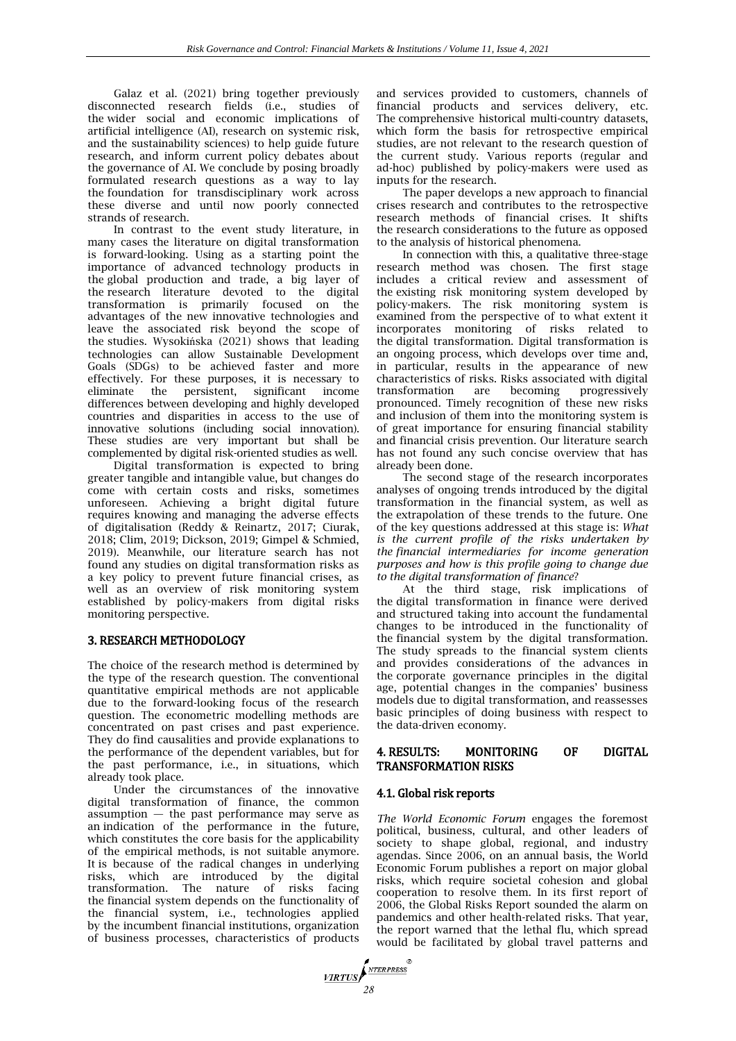Galaz et al. (2021) bring together previously disconnected research fields (i.e., studies of the wider social and economic implications of artificial intelligence (AI), research on systemic risk, and the sustainability sciences) to help guide future research, and inform current policy debates about the governance of AI. We conclude by posing broadly formulated research questions as a way to lay the foundation for transdisciplinary work across these diverse and until now poorly connected strands of research.

In contrast to the event study literature, in many cases the literature on digital transformation is forward-looking. Using as a starting point the importance of advanced technology products in the global production and trade, a big layer of the research literature devoted to the digital transformation is primarily focused on the advantages of the new innovative technologies and leave the associated risk beyond the scope of the studies. Wysokińska (2021) shows that leading technologies can allow Sustainable Development Goals (SDGs) to be achieved faster and more effectively. For these purposes, it is necessary to eliminate the persistent, significant income differences between developing and highly developed countries and disparities in access to the use of innovative solutions (including social innovation). These studies are very important but shall be complemented by digital risk-oriented studies as well.

Digital transformation is expected to bring greater tangible and intangible value, but changes do come with certain costs and risks, sometimes unforeseen. Achieving a bright digital future requires knowing and managing the adverse effects of digitalisation (Reddy & Reinartz, 2017; Ciurak, 2018; Clim, 2019; Dickson, 2019; Gimpel & Schmied, 2019). Meanwhile, our literature search has not found any studies on digital transformation risks as a key policy to prevent future financial crises, as well as an overview of risk monitoring system established by policy-makers from digital risks monitoring perspective.

# 3. RESEARCH METHODOLOGY

The choice of the research method is determined by the type of the research question. The conventional quantitative empirical methods are not applicable due to the forward-looking focus of the research question. The econometric modelling methods are concentrated on past crises and past experience. They do find causalities and provide explanations to the performance of the dependent variables, but for the past performance, i.e., in situations, which already took place.

Under the circumstances of the innovative digital transformation of finance, the common  $assumption$  — the past performance may serve as an indication of the performance in the future, which constitutes the core basis for the applicability of the empirical methods, is not suitable anymore. It is because of the radical changes in underlying risks, which are introduced by the digital transformation. The nature of risks facing the financial system depends on the functionality of the financial system, i.e., technologies applied by the incumbent financial institutions, organization of business processes, characteristics of products

and services provided to customers, channels of financial products and services delivery, etc. The comprehensive historical multi-country datasets, which form the basis for retrospective empirical studies, are not relevant to the research question of the current study. Various reports (regular and ad-hoc) published by policy-makers were used as inputs for the research.

The paper develops a new approach to financial crises research and contributes to the retrospective research methods of financial crises. It shifts the research considerations to the future as opposed to the analysis of historical phenomena.

In connection with this, a qualitative three-stage research method was chosen. The first stage includes a critical review and assessment of the existing risk monitoring system developed by policy-makers. The risk monitoring system is examined from the perspective of to what extent it incorporates monitoring of risks related to the digital transformation. Digital transformation is an ongoing process, which develops over time and, in particular, results in the appearance of new characteristics of risks. Risks associated with digital transformation are becoming progressively pronounced. Timely recognition of these new risks and inclusion of them into the monitoring system is of great importance for ensuring financial stability and financial crisis prevention. Our literature search has not found any such concise overview that has already been done.

The second stage of the research incorporates analyses of ongoing trends introduced by the digital transformation in the financial system, as well as the extrapolation of these trends to the future. One of the key questions addressed at this stage is: *What is the current profile of the risks undertaken by the financial intermediaries for income generation purposes and how is this profile going to change due to the digital transformation of finance*?

At the third stage, risk implications of the digital transformation in finance were derived and structured taking into account the fundamental changes to be introduced in the functionality of the financial system by the digital transformation. The study spreads to the financial system clients and provides considerations of the advances in the corporate governance principles in the digital age, potential changes in the companies' business models due to digital transformation, and reassesses basic principles of doing business with respect to the data-driven economy.

# 4. RESULTS: MONITORING OF DIGITAL TRANSFORMATION RISKS

# 4.1. Global risk reports

*The World Economic Forum* engages the foremost political, business, cultural, and other leaders of society to shape global, regional, and industry agendas. Since 2006, on an annual basis, the World Economic Forum publishes a report on major global risks, which require societal cohesion and global cooperation to resolve them. In its first report of 2006, the Global Risks Report sounded the alarm on pandemics and other health-related risks. That year, the report warned that the lethal flu, which spread would be facilitated by global travel patterns and

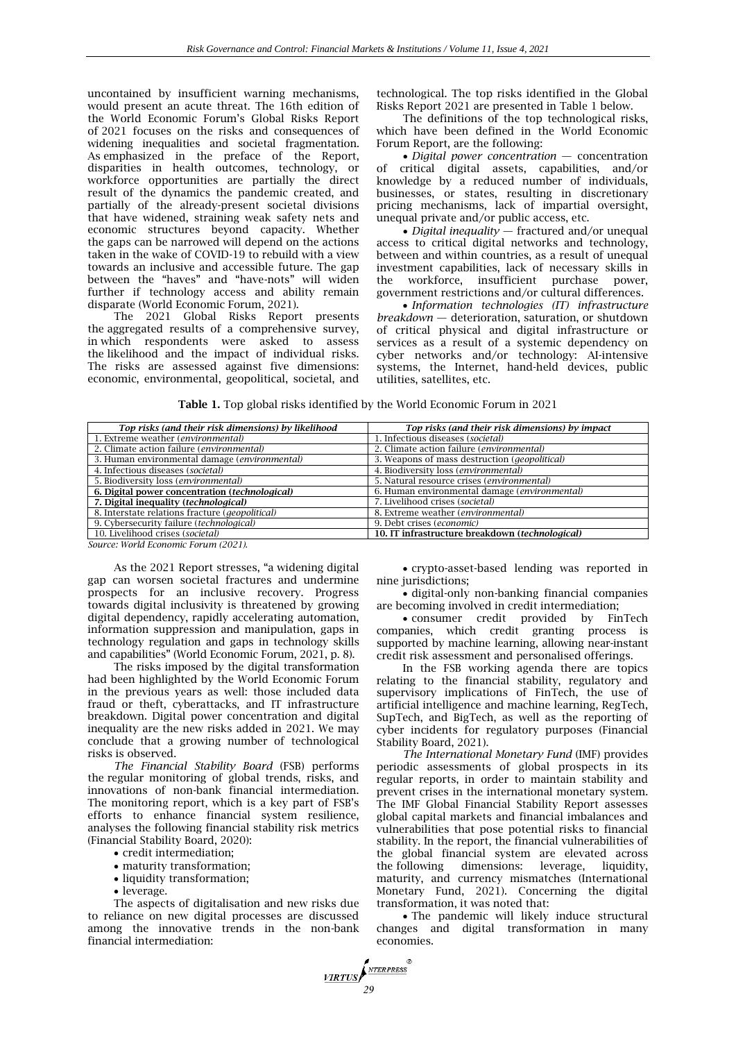uncontained by insufficient warning mechanisms, would present an acute threat. The 16th edition of the World Economic Forum's Global Risks Report of 2021 focuses on the risks and consequences of widening inequalities and societal fragmentation. As emphasized in the preface of the Report, disparities in health outcomes, technology, or workforce opportunities are partially the direct result of the dynamics the pandemic created, and partially of the already-present societal divisions that have widened, straining weak safety nets and economic structures beyond capacity. Whether the gaps can be narrowed will depend on the actions taken in the wake of COVID-19 to rebuild with a view towards an inclusive and accessible future. The gap between the "haves" and "have-nots" will widen further if technology access and ability remain disparate (World Economic Forum, 2021).

The 2021 Global Risks Report presents the aggregated results of a comprehensive survey, in which respondents were asked to assess the likelihood and the impact of individual risks. The risks are assessed against five dimensions: economic, environmental, geopolitical, societal, and

technological. The top risks identified in the Global Risks Report 2021 are presented in Table 1 below.

The definitions of the top technological risks, which have been defined in the World Economic Forum Report, are the following:

 *Digital power concentration* — concentration of critical digital assets, capabilities, and/or knowledge by a reduced number of individuals, businesses, or states, resulting in discretionary pricing mechanisms, lack of impartial oversight, unequal private and/or public access, etc.

 *Digital inequality* — fractured and/or unequal access to critical digital networks and technology, between and within countries, as a result of unequal investment capabilities, lack of necessary skills in the workforce, insufficient purchase power, government restrictions and/or cultural differences.

 *Information technologies (IT) infrastructure breakdown* — deterioration, saturation, or shutdown of critical physical and digital infrastructure or services as a result of a systemic dependency on cyber networks and/or technology: AI-intensive systems, the Internet, hand-held devices, public utilities, satellites, etc.

**Table 1.** Top global risks identified by the World Economic Forum in 2021

| Top risks (and their risk dimensions) by likelihood      | Top risks (and their risk dimensions) by impact        |
|----------------------------------------------------------|--------------------------------------------------------|
| 1. Extreme weather (environmental)                       | 1. Infectious diseases (societal)                      |
| 2. Climate action failure (environmental)                | 2. Climate action failure (environmental)              |
| 3. Human environmental damage (environmental)            | 3. Weapons of mass destruction ( <i>geopolitical</i> ) |
| 4. Infectious diseases (societal)                        | 4. Biodiversity loss (environmental)                   |
| 5. Biodiversity loss (environmental)                     | 5. Natural resource crises (environmental)             |
| 6. Digital power concentration (technological)           | 6. Human environmental damage (environmental)          |
| 7. Digital inequality (technological)                    | 7. Livelihood crises (societal)                        |
| 8. Interstate relations fracture ( <i>geopolitical</i> ) | 8. Extreme weather (environmental)                     |
| 9. Cybersecurity failure (technological)                 | 9. Debt crises (economic)                              |
| 10. Livelihood crises (societal)                         | 10. IT infrastructure breakdown (technological)        |

*Source: World Economic Forum (2021).*

As the 2021 Report stresses, "a widening digital gap can worsen societal fractures and undermine prospects for an inclusive recovery. Progress towards digital inclusivity is threatened by growing digital dependency, rapidly accelerating automation, information suppression and manipulation, gaps in technology regulation and gaps in technology skills and capabilities" (World Economic Forum, 2021, p. 8).

The risks imposed by the digital transformation had been highlighted by the World Economic Forum in the previous years as well: those included data fraud or theft, cyberattacks, and IT infrastructure breakdown. Digital power concentration and digital inequality are the new risks added in 2021. We may conclude that a growing number of technological risks is observed.

*The Financial Stability Board* (FSB) performs the regular monitoring of global trends, risks, and innovations of non-bank financial intermediation. The monitoring report, which is a key part of FSB's efforts to enhance financial system resilience, analyses the following financial stability risk metrics (Financial Stability Board, 2020):

- credit intermediation;
- maturity transformation;
- liquidity transformation;
- leverage.

The aspects of digitalisation and new risks due to reliance on new digital processes are discussed among the innovative trends in the non-bank financial intermediation:

 crypto-asset-based lending was reported in nine jurisdictions;

 digital-only non-banking financial companies are becoming involved in credit intermediation;

 consumer credit provided by FinTech companies, which credit granting process is supported by machine learning, allowing near-instant credit risk assessment and personalised offerings.

In the FSB working agenda there are topics relating to the financial stability, regulatory and supervisory implications of FinTech, the use of artificial intelligence and machine learning, RegTech, SupTech, and BigTech, as well as the reporting of cyber incidents for regulatory purposes (Financial Stability Board, 2021).

*The International Monetary Fund* (IMF) provides periodic assessments of global prospects in its regular reports, in order to maintain stability and prevent crises in the international monetary system. The IMF Global Financial Stability Report assesses global capital markets and financial imbalances and vulnerabilities that pose potential risks to financial stability. In the report, the financial vulnerabilities of the global financial system are elevated across the following dimensions: leverage, liquidity, maturity, and currency mismatches (International Monetary Fund, 2021). Concerning the digital transformation, it was noted that:

• The pandemic will likely induce structural changes and digital transformation in many economies.

*<u>VIRTUS</u>*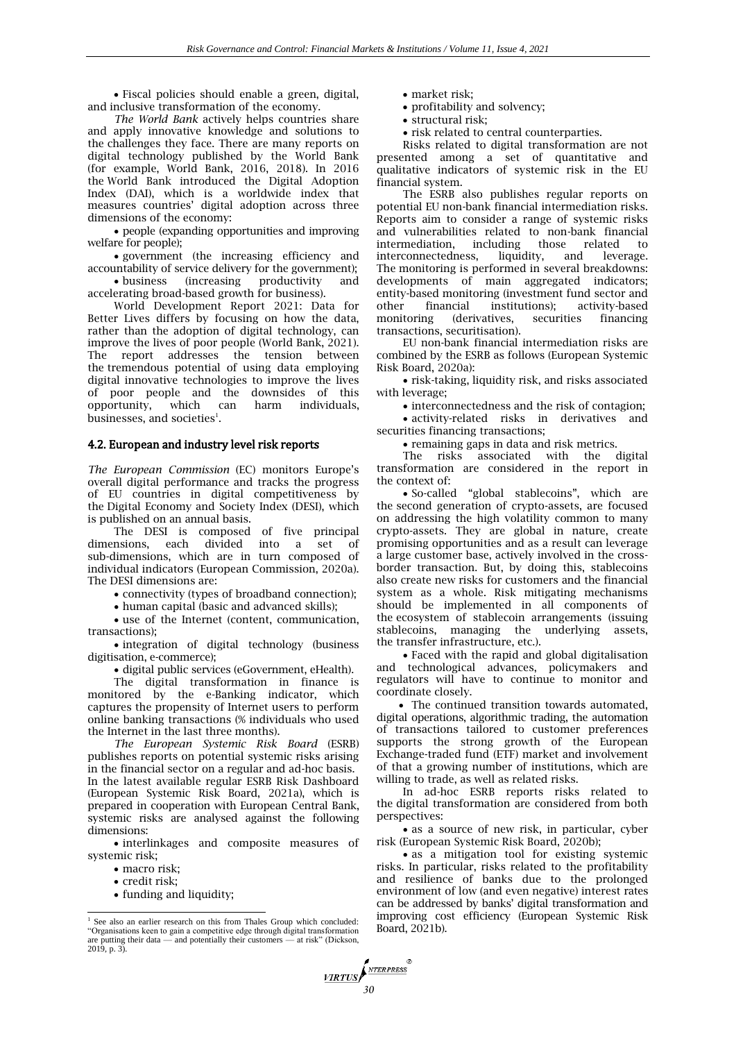Fiscal policies should enable a green, digital, and inclusive transformation of the economy.

*The World Bank* actively helps countries share and apply innovative knowledge and solutions to the challenges they face. There are many reports on digital technology published by the World Bank (for example, World Bank, 2016, 2018). In 2016 the World Bank introduced the Digital Adoption Index (DAI), which is a worldwide index that measures countries' digital adoption across three dimensions of the economy:

 people (expanding opportunities and improving welfare for people);

 government (the increasing efficiency and accountability of service delivery for the government); business (increasing productivity and

accelerating broad-based growth for business).

World Development Report 2021: Data for Better Lives differs by focusing on how the data, rather than the adoption of digital technology, can improve the lives of poor people (World Bank, 2021). The report addresses the tension between the tremendous potential of using data employing digital innovative technologies to improve the lives of poor people and the downsides of this opportunity, which can harm individuals, businesses, and societies $^{\text{\tiny{1}}}$ .

#### 4.2. European and industry level risk reports

*The European Commission* (EC) monitors Europe's overall digital performance and tracks the progress of EU countries in digital competitiveness by the Digital Economy and Society Index (DESI), which is published on an annual basis.

The DESI is composed of five principal dimensions, each divided into a set of each divided into a set sub-dimensions, which are in turn composed of individual indicators (European Commission, 2020a). The DESI dimensions are:

connectivity (types of broadband connection);

• human capital (basic and advanced skills);

 use of the Internet (content, communication, transactions);

 integration of digital technology (business digitisation, e-commerce);

digital public services (eGovernment, eHealth).

The digital transformation in finance is monitored by the e-Banking indicator, which captures the propensity of Internet users to perform online banking transactions (% individuals who used the Internet in the last three months).

*The European Systemic Risk Board* (ESRB) publishes reports on potential systemic risks arising in the financial sector on a regular and ad-hoc basis. In the latest available regular ESRB Risk Dashboard (European Systemic Risk Board, 2021a), which is prepared in cooperation with European Central Bank, systemic risks are analysed against the following dimensions:

 interlinkages and composite measures of systemic risk;

- macro risk;
- credit risk;

 $\overline{\phantom{a}}$ 

funding and liquidity;

- market risk;
- profitability and solvency;
- structural risk:
- risk related to central counterparties.

Risks related to digital transformation are not presented among a set of quantitative and qualitative indicators of systemic risk in the EU financial system.

The ESRB also publishes regular reports on potential EU non-bank financial intermediation risks. Reports aim to consider a range of systemic risks and vulnerabilities related to non-bank financial intermediation, including those related to interconnectedness, liquidity, and leverage. The monitoring is performed in several breakdowns: developments of main aggregated indicators; entity-based monitoring (investment fund sector and other financial institutions); activity-based other financial institutions); activity-based (derivatives, transactions, securitisation).

EU non-bank financial intermediation risks are combined by the ESRB as follows (European Systemic Risk Board, 2020a):

 risk-taking, liquidity risk, and risks associated with leverage;

interconnectedness and the risk of contagion;

 activity-related risks in derivatives and securities financing transactions;

• remaining gaps in data and risk metrics.

The risks associated with the digital transformation are considered in the report in the context of:

• So-called "global stablecoins", which are the second generation of crypto-assets, are focused on addressing the high volatility common to many crypto-assets. They are global in nature, create promising opportunities and as a result can leverage a large customer base, actively involved in the crossborder transaction. But, by doing this, stablecoins also create new risks for customers and the financial system as a whole. Risk mitigating mechanisms should be implemented in all components of the ecosystem of stablecoin arrangements (issuing stablecoins, managing the underlying assets, the transfer infrastructure, etc.).

 Faced with the rapid and global digitalisation and technological advances, policymakers and regulators will have to continue to monitor and coordinate closely.

• The continued transition towards automated, digital operations, algorithmic trading, the automation of transactions tailored to customer preferences supports the strong growth of the European Exchange-traded fund (ETF) market and involvement of that a growing number of institutions, which are willing to trade, as well as related risks.

In ad-hoc ESRB reports risks related to the digital transformation are considered from both perspectives:

• as a source of new risk, in particular, cyber risk (European Systemic Risk Board, 2020b);

 as a mitigation tool for existing systemic risks. In particular, risks related to the profitability and resilience of banks due to the prolonged environment of low (and even negative) interest rates can be addressed by banks' digital transformation and improving cost efficiency (European Systemic Risk Board, 2021b).

<sup>1</sup> See also an earlier research on this from Thales Group which concluded: "Organisations keen to gain a competitive edge through digital transformation are putting their data — and potentially their customers — at risk" (Dickson, 2019, p. 3).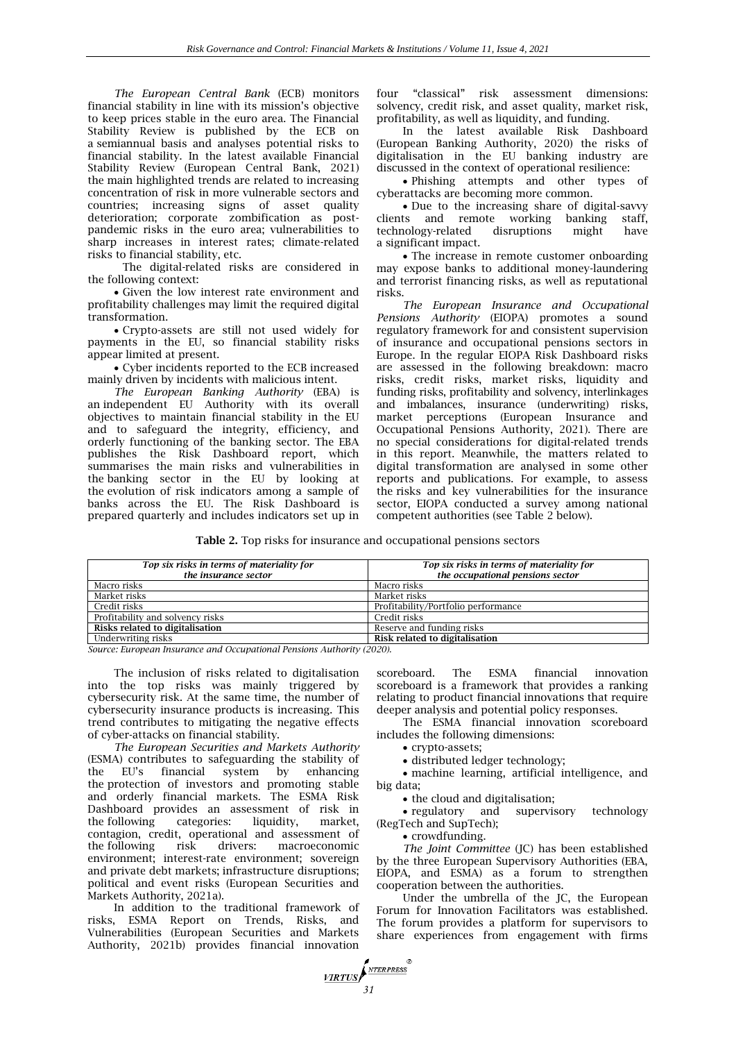*The European Central Bank* (ECB) monitors financial stability in line with its mission's objective to keep prices stable in the euro area. The Financial Stability Review is published by the ECB on a semiannual basis and analyses potential risks to financial stability. In the latest available Financial Stability Review (European Central Bank, 2021) the main highlighted trends are related to increasing concentration of risk in more vulnerable sectors and countries; increasing signs of asset quality deterioration; corporate zombification as postpandemic risks in the euro area; vulnerabilities to sharp increases in interest rates; climate-related risks to financial stability, etc.

The digital-related risks are considered in the following context:

 Given the low interest rate environment and profitability challenges may limit the required digital transformation.

 Crypto-assets are still not used widely for payments in the EU, so financial stability risks appear limited at present.

 Cyber incidents reported to the ECB increased mainly driven by incidents with malicious intent.

*The European Banking Authority* (EBA) is an independent EU Authority with its overall objectives to maintain financial stability in the EU and to safeguard the integrity, efficiency, and orderly functioning of the banking sector. The EBA publishes the Risk Dashboard report, which summarises the main risks and vulnerabilities in the banking sector in the EU by looking at the evolution of risk indicators among a sample of banks across the EU. The Risk Dashboard is prepared quarterly and includes indicators set up in

four "classical" risk assessment dimensions: solvency, credit risk, and asset quality, market risk, profitability, as well as liquidity, and funding.

In the latest available Risk Dashboard (European Banking Authority, 2020) the risks of digitalisation in the EU banking industry are discussed in the context of operational resilience:

 Phishing attempts and other types of cyberattacks are becoming more common.

 Due to the increasing share of digital-savvy clients and remote working banking staff, technology-related disruptions might have a significant impact.

 The increase in remote customer onboarding may expose banks to additional money-laundering and terrorist financing risks, as well as reputational risks.

*The European Insurance and Occupational Pensions Authority* (EIOPA) promotes a sound regulatory framework for and consistent supervision of insurance and occupational pensions sectors in Europe. In the regular EIOPA Risk Dashboard risks are assessed in the following breakdown: macro risks, credit risks, market risks, liquidity and funding risks, profitability and solvency, interlinkages and imbalances, insurance (underwriting) risks, market perceptions (European Insurance and Occupational Pensions Authority, 2021). There are no special considerations for digital-related trends in this report. Meanwhile, the matters related to digital transformation are analysed in some other reports and publications. For example, to assess the risks and key vulnerabilities for the insurance sector, EIOPA conducted a survey among national competent authorities (see Table 2 below).

**Table 2.** Top risks for insurance and occupational pensions sectors

| Top six risks in terms of materiality for<br>the insurance sector | Top six risks in terms of materiality for<br>the occupational pensions sector |
|-------------------------------------------------------------------|-------------------------------------------------------------------------------|
| Macro risks                                                       | Macro risks                                                                   |
| Market risks                                                      | Market risks                                                                  |
| Credit risks                                                      | Profitability/Portfolio performance                                           |
| Profitability and solvency risks                                  | Credit risks                                                                  |
| Risks related to digitalisation                                   | Reserve and funding risks                                                     |
| Underwriting risks                                                | Risk related to digitalisation                                                |

*31*

**VIRTUS** 

NTERPRESS

*Source: European Insurance and Occupational Pensions Authority (2020).*

The inclusion of risks related to digitalisation into the top risks was mainly triggered by cybersecurity risk. At the same time, the number of cybersecurity insurance products is increasing. This trend contributes to mitigating the negative effects of cyber-attacks on financial stability.

*The European Securities and Markets Authority* (ESMA) contributes to safeguarding the stability of the EU's financial system by enhancing the protection of investors and promoting stable and orderly financial markets. The ESMA Risk Dashboard provides an assessment of risk in the following categories: liquidity, market, contagion, credit, operational and assessment of the following risk drivers: macroeconomic environment; interest-rate environment; sovereign and private debt markets; infrastructure disruptions; political and event risks (European Securities and Markets Authority, 2021a).

In addition to the traditional framework of risks, ESMA Report on Trends, Risks, and Vulnerabilities (European Securities and Markets Authority, 2021b) provides financial innovation

scoreboard. The ESMA financial innovation scoreboard is a framework that provides a ranking relating to product financial innovations that require deeper analysis and potential policy responses.

The ESMA financial innovation scoreboard includes the following dimensions:

crypto-assets;

distributed ledger technology;

 machine learning, artificial intelligence, and big data;

• the cloud and digitalisation;

• regulatory and supervisory technology (RegTech and SupTech);

• crowdfunding.

*The Joint Committee* (JC) has been established by the three European Supervisory Authorities (EBA, EIOPA, and ESMA) as a forum to strengthen cooperation between the authorities.

Under the umbrella of the JC, the European Forum for Innovation Facilitators was established. The forum provides a platform for supervisors to share experiences from engagement with firms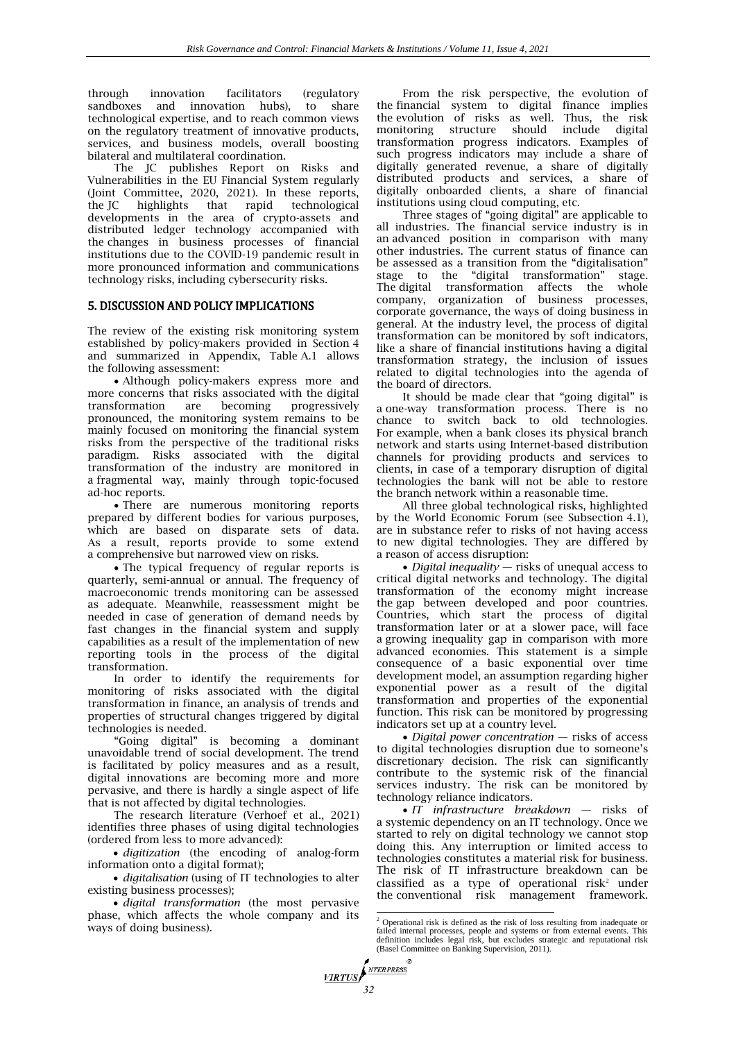through innovation facilitators (regulatory sandboxes and innovation hubs), to share technological expertise, and to reach common views on the regulatory treatment of innovative products, services, and business models, overall boosting bilateral and multilateral coordination.

The JC publishes Report on Risks and Vulnerabilities in the EU Financial System regularly (Joint Committee, 2020, 2021). In these reports,<br>the JC highlights that rapid technological highlights that rapid technological developments in the area of crypto-assets and distributed ledger technology accompanied with the changes in business processes of financial institutions due to the COVID-19 pandemic result in more pronounced information and communications technology risks, including cybersecurity risks.

# 5. DISCUSSION AND POLICY IMPLICATIONS

The review of the existing risk monitoring system established by policy-makers provided in Section 4 and summarized in Appendix, Table A.1 allows the following assessment:

 Although policy-makers express more and more concerns that risks associated with the digital transformation are becoming progressively pronounced, the monitoring system remains to be mainly focused on monitoring the financial system risks from the perspective of the traditional risks paradigm. Risks associated with the digital transformation of the industry are monitored in a fragmental way, mainly through topic-focused ad-hoc reports.

 There are numerous monitoring reports prepared by different bodies for various purposes, which are based on disparate sets of data. As a result, reports provide to some extend a comprehensive but narrowed view on risks.

• The typical frequency of regular reports is quarterly, semi-annual or annual. The frequency of macroeconomic trends monitoring can be assessed as adequate. Meanwhile, reassessment might be needed in case of generation of demand needs by fast changes in the financial system and supply capabilities as a result of the implementation of new reporting tools in the process of the digital transformation.

In order to identify the requirements for monitoring of risks associated with the digital transformation in finance, an analysis of trends and properties of structural changes triggered by digital technologies is needed.

―Going digital‖ is becoming a dominant unavoidable trend of social development. The trend is facilitated by policy measures and as a result, digital innovations are becoming more and more pervasive, and there is hardly a single aspect of life that is not affected by digital technologies.

The research literature (Verhoef et al., 2021) identifies three phases of using digital technologies (ordered from less to more advanced):

 *digitization* (the encoding of analog-form information onto a digital format);

 *digitalisation* (using of IT technologies to alter existing business processes);

 *digital transformation* (the most pervasive phase, which affects the whole company and its ways of doing business).

From the risk perspective, the evolution of the financial system to digital finance implies the evolution of risks as well. Thus, the risk monitoring structure should include digital transformation progress indicators. Examples of such progress indicators may include a share of digitally generated revenue, a share of digitally distributed products and services, a share of digitally onboarded clients, a share of financial institutions using cloud computing, etc.

Three stages of "going digital" are applicable to all industries. The financial service industry is in an advanced position in comparison with many other industries. The current status of finance can be assessed as a transition from the "digitalisation" stage to the "digital transformation" stage. The digital transformation affects the whole company, organization of business processes, corporate governance, the ways of doing business in general. At the industry level, the process of digital transformation can be monitored by soft indicators, like a share of financial institutions having a digital transformation strategy, the inclusion of issues related to digital technologies into the agenda of the board of directors.

It should be made clear that "going digital" is a one-way transformation process. There is no chance to switch back to old technologies. For example, when a bank closes its physical branch network and starts using Internet-based distribution channels for providing products and services to clients, in case of a temporary disruption of digital technologies the bank will not be able to restore the branch network within a reasonable time.

All three global technological risks, highlighted by the World Economic Forum (see Subsection 4.1), are in substance refer to risks of not having access to new digital technologies. They are differed by a reason of access disruption:

 *Digital inequality* — risks of unequal access to critical digital networks and technology. The digital transformation of the economy might increase the gap between developed and poor countries. Countries, which start the process of digital transformation later or at a slower pace, will face a growing inequality gap in comparison with more advanced economies. This statement is a simple consequence of a basic exponential over time development model, an assumption regarding higher exponential power as a result of the digital transformation and properties of the exponential function. This risk can be monitored by progressing indicators set up at a country level.

 *Digital power concentration* — risks of access to digital technologies disruption due to someone's discretionary decision. The risk can significantly contribute to the systemic risk of the financial services industry. The risk can be monitored by technology reliance indicators.

 *IT infrastructure breakdown* — risks of a systemic dependency on an IT technology. Once we started to rely on digital technology we cannot stop doing this. Any interruption or limited access to technologies constitutes a material risk for business. The risk of IT infrastructure breakdown can be classified as a type of operational risk<sup>2</sup> under the conventional risk management framework.

 <sup>2</sup> Operational risk is defined as the risk of loss resulting from inadequate or failed internal processes, people and systems or from external events. This definition includes legal risk, but excludes strategic and reputational risk (Basel Committee on Banking Supervision, 2011).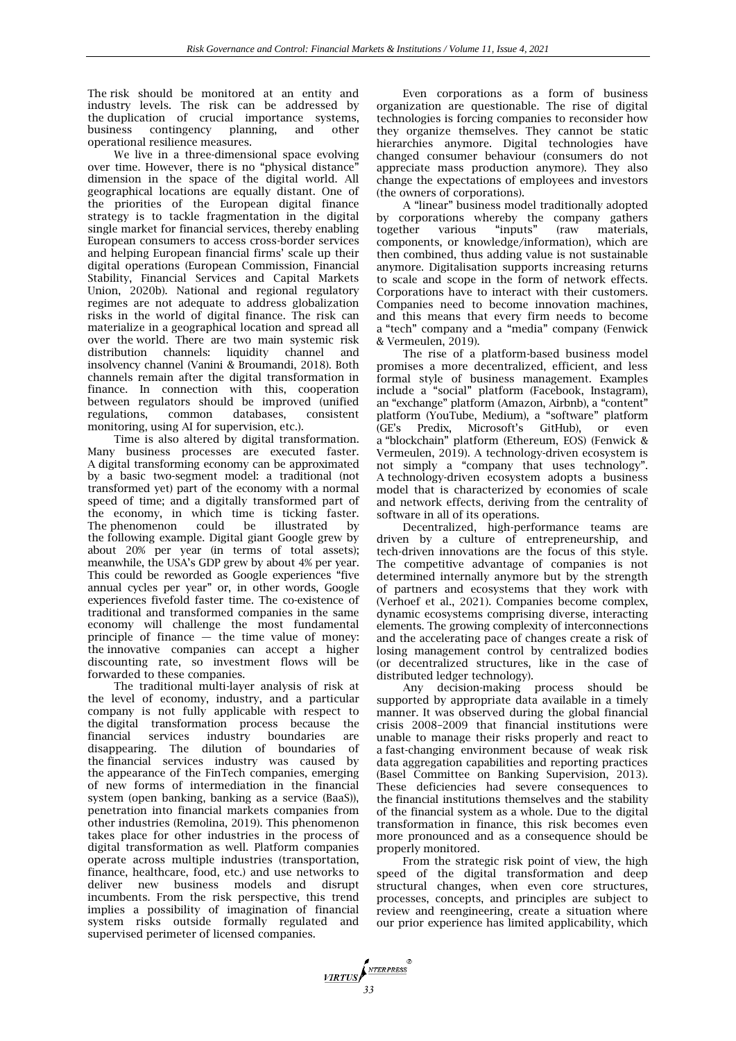The risk should be monitored at an entity and industry levels. The risk can be addressed by the duplication of crucial importance systems,<br>business contingency planning, and other business contingency planning, and other operational resilience measures.

We live in a three-dimensional space evolving over time. However, there is no "physical distance' dimension in the space of the digital world. All geographical locations are equally distant. One of the priorities of the European digital finance strategy is to tackle fragmentation in the digital single market for financial services, thereby enabling European consumers to access cross-border services and helping European financial firms' scale up their digital operations (European Commission, Financial Stability, Financial Services and Capital Markets Union, 2020b). National and regional regulatory regimes are not adequate to address globalization risks in the world of digital finance. The risk can materialize in a geographical location and spread all over the world. There are two main systemic risk distribution channels: liquidity channel and insolvency channel (Vanini & Broumandi, 2018). Both channels remain after the digital transformation in finance. In connection with this, cooperation between regulators should be improved (unified regulations, common databases, consistent monitoring, using AI for supervision, etc.).

Time is also altered by digital transformation. Many business processes are executed faster. A digital transforming economy can be approximated by a basic two-segment model: a traditional (not transformed yet) part of the economy with a normal speed of time; and a digitally transformed part of the economy, in which time is ticking faster. The phenomenon could be illustrated by the following example. Digital giant Google grew by about 20% per year (in terms of total assets); meanwhile, the USA's GDP grew by about 4% per year. This could be reworded as Google experiences "five annual cycles per year" or, in other words, Google experiences fivefold faster time. The co-existence of traditional and transformed companies in the same economy will challenge the most fundamental principle of finance  $-$  the time value of money: the innovative companies can accept a higher discounting rate, so investment flows will be forwarded to these companies.

The traditional multi-layer analysis of risk at the level of economy, industry, and a particular company is not fully applicable with respect to the digital transformation process because the boundaries are disappearing. The dilution of boundaries of the financial services industry was caused by the appearance of the FinTech companies, emerging of new forms of intermediation in the financial system (open banking, banking as a service (BaaS)), penetration into financial markets companies from other industries (Remolina, 2019). This phenomenon takes place for other industries in the process of digital transformation as well. Platform companies operate across multiple industries (transportation, finance, healthcare, food, etc.) and use networks to deliver new business models and disrupt incumbents. From the risk perspective, this trend implies a possibility of imagination of financial system risks outside formally regulated and supervised perimeter of licensed companies.

Even corporations as a form of business organization are questionable. The rise of digital technologies is forcing companies to reconsider how they organize themselves. They cannot be static hierarchies anymore. Digital technologies have changed consumer behaviour (consumers do not appreciate mass production anymore). They also change the expectations of employees and investors (the owners of corporations).

A "linear" business model traditionally adopted by corporations whereby the company gathers together various "inputs" (raw materials, components, or knowledge/information), which are then combined, thus adding value is not sustainable anymore. Digitalisation supports increasing returns to scale and scope in the form of network effects. Corporations have to interact with their customers. Companies need to become innovation machines, and this means that every firm needs to become a "tech" company and a "media" company (Fenwick & Vermeulen, 2019).

The rise of a platform-based business model promises a more decentralized, efficient, and less formal style of business management. Examples include a "social" platform (Facebook, Instagram), an "exchange" platform (Amazon, Airbnb), a "content" platform (YouTube, Medium), a "software" platform (GE's Predix, Microsoft's GitHub), or even a "blockchain" platform (Ethereum, EOS) (Fenwick & Vermeulen, 2019). A technology-driven ecosystem is not simply a "company that uses technology". A technology-driven ecosystem adopts a business model that is characterized by economies of scale and network effects, deriving from the centrality of software in all of its operations.

Decentralized, high-performance teams are driven by a culture of entrepreneurship, and tech-driven innovations are the focus of this style. The competitive advantage of companies is not determined internally anymore but by the strength of partners and ecosystems that they work with (Verhoef et al., 2021). Companies become complex, dynamic ecosystems comprising diverse, interacting elements. The growing complexity of interconnections and the accelerating pace of changes create a risk of losing management control by centralized bodies (or decentralized structures, like in the case of distributed ledger technology).

Any decision-making process should be supported by appropriate data available in a timely manner. It was observed during the global financial crisis 2008–2009 that financial institutions were unable to manage their risks properly and react to a fast-changing environment because of weak risk data aggregation capabilities and reporting practices (Basel Committee on Banking Supervision, 2013). These deficiencies had severe consequences to the financial institutions themselves and the stability of the financial system as a whole. Due to the digital transformation in finance, this risk becomes even more pronounced and as a consequence should be properly monitored.

From the strategic risk point of view, the high speed of the digital transformation and deep structural changes, when even core structures, processes, concepts, and principles are subject to review and reengineering, create a situation where our prior experience has limited applicability, which

*MRTUS*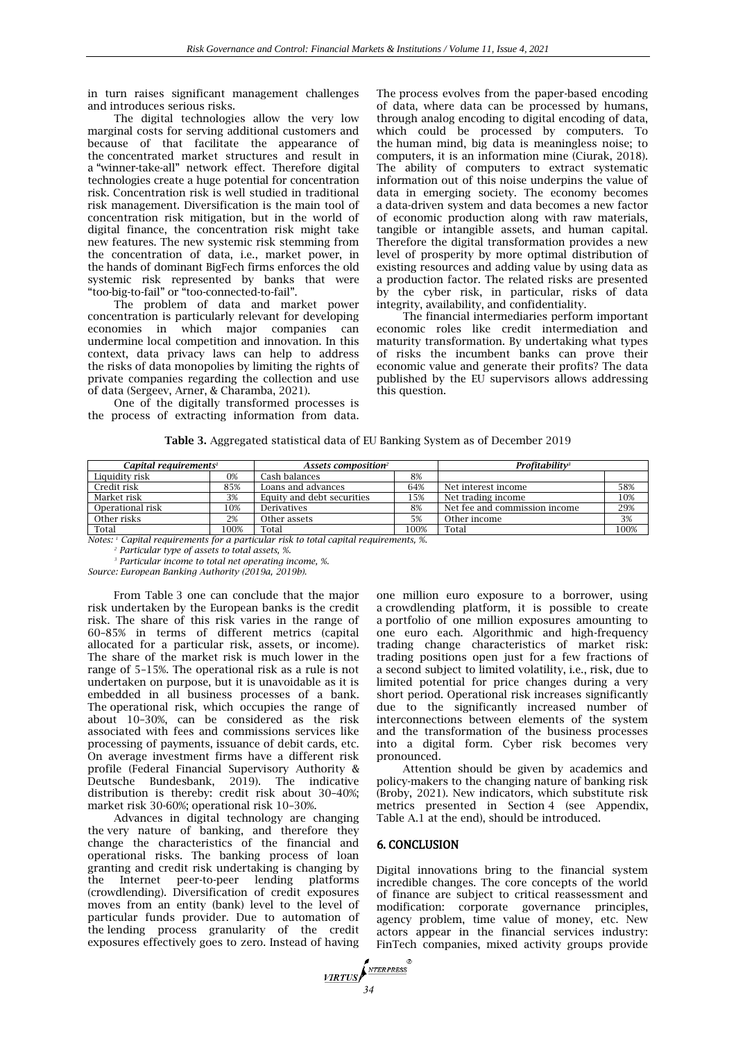in turn raises significant management challenges and introduces serious risks.

The digital technologies allow the very low marginal costs for serving additional customers and because of that facilitate the appearance of the concentrated market structures and result in a "winner-take-all" network effect. Therefore digital technologies create a huge potential for concentration risk. Concentration risk is well studied in traditional risk management. Diversification is the main tool of concentration risk mitigation, but in the world of digital finance, the concentration risk might take new features. The new systemic risk stemming from the concentration of data, i.e., market power, in the hands of dominant BigFech firms enforces the old systemic risk represented by banks that were "too-big-to-fail" or "too-connected-to-fail".

The problem of data and market power concentration is particularly relevant for developing economies in which major companies can undermine local competition and innovation. In this context, data privacy laws can help to address the risks of data monopolies by limiting the rights of private companies regarding the collection and use of data (Sergeev, Arner, & Charamba, 2021).

One of the digitally transformed processes is the process of extracting information from data. The process evolves from the paper-based encoding of data, where data can be processed by humans, through analog encoding to digital encoding of data, which could be processed by computers. To the human mind, big data is meaningless noise; to computers, it is an information mine (Ciurak, 2018). The ability of computers to extract systematic information out of this noise underpins the value of data in emerging society. The economy becomes a data-driven system and data becomes a new factor of economic production along with raw materials, tangible or intangible assets, and human capital. Therefore the digital transformation provides a new level of prosperity by more optimal distribution of existing resources and adding value by using data as a production factor. The related risks are presented by the cyber risk, in particular, risks of data integrity, availability, and confidentiality.

The financial intermediaries perform important economic roles like credit intermediation and maturity transformation. By undertaking what types of risks the incumbent banks can prove their economic value and generate their profits? The data published by the EU supervisors allows addressing this question.

**Table 3.** Aggregated statistical data of EU Banking System as of December 2019

| Capital requirements <sup>1</sup> |      | Assets composition <sup>2</sup> |      | Profitability <sup>3</sup>    |      |
|-----------------------------------|------|---------------------------------|------|-------------------------------|------|
| Liquidity risk                    | 0%   | Cash balances                   | 8%   |                               |      |
| Credit risk                       | 85%  | Loans and advances              | 64%  | Net interest income           | 58%  |
| Market risk                       | 3%   | Equity and debt securities      | 15%  | Net trading income            | 10%  |
| Operational risk                  | 10%  | Derivatives                     | 8%   | Net fee and commission income | 29%  |
| Other risks                       | 2%   | Other assets                    | 5%   | Other income                  | 3%   |
| Total                             | 100% | Total                           | 100% | Total                         | 100% |

*Notes: <sup>1</sup> Capital requirements for a particular risk to total capital requirements, %.*

*<sup>2</sup> Particular type of assets to total assets, %.*

*<sup>3</sup> Particular income to total net operating income, %.*

*Source: European Banking Authority (2019a, 2019b).*

From Table 3 one can conclude that the major risk undertaken by the European banks is the credit risk. The share of this risk varies in the range of 60–85% in terms of different metrics (capital allocated for a particular risk, assets, or income). The share of the market risk is much lower in the range of 5–15%. The operational risk as a rule is not undertaken on purpose, but it is unavoidable as it is embedded in all business processes of a bank. The operational risk, which occupies the range of about 10–30%, can be considered as the risk associated with fees and commissions services like processing of payments, issuance of debit cards, etc. On average investment firms have a different risk profile (Federal Financial Supervisory Authority & Deutsche Bundesbank, 2019). The indicative distribution is thereby: credit risk about 30–40%; market risk 30-60%; operational risk 10–30%.

Advances in digital technology are changing the very nature of banking, and therefore they change the characteristics of the financial and operational risks. The banking process of loan granting and credit risk undertaking is changing by the Internet peer-to-peer lending platforms (crowdlending). Diversification of credit exposures moves from an entity (bank) level to the level of particular funds provider. Due to automation of the lending process granularity of the credit exposures effectively goes to zero. Instead of having

one million euro exposure to a borrower, using a crowdlending platform, it is possible to create a portfolio of one million exposures amounting to one euro each. Algorithmic and high-frequency trading change characteristics of market risk: trading positions open just for a few fractions of a second subject to limited volatility, i.e., risk, due to limited potential for price changes during a very short period. Operational risk increases significantly due to the significantly increased number of interconnections between elements of the system and the transformation of the business processes into a digital form. Cyber risk becomes very pronounced.

Attention should be given by academics and policy-makers to the changing nature of banking risk (Broby, 2021). New indicators, which substitute risk metrics presented in Section 4 (see Appendix, Table A.1 at the end), should be introduced.

# 6. CONCLUSION

Digital innovations bring to the financial system incredible changes. The core concepts of the world of finance are subject to critical reassessment and modification: corporate governance principles, agency problem, time value of money, etc. New actors appear in the financial services industry: FinTech companies, mixed activity groups provide

*MRTUS*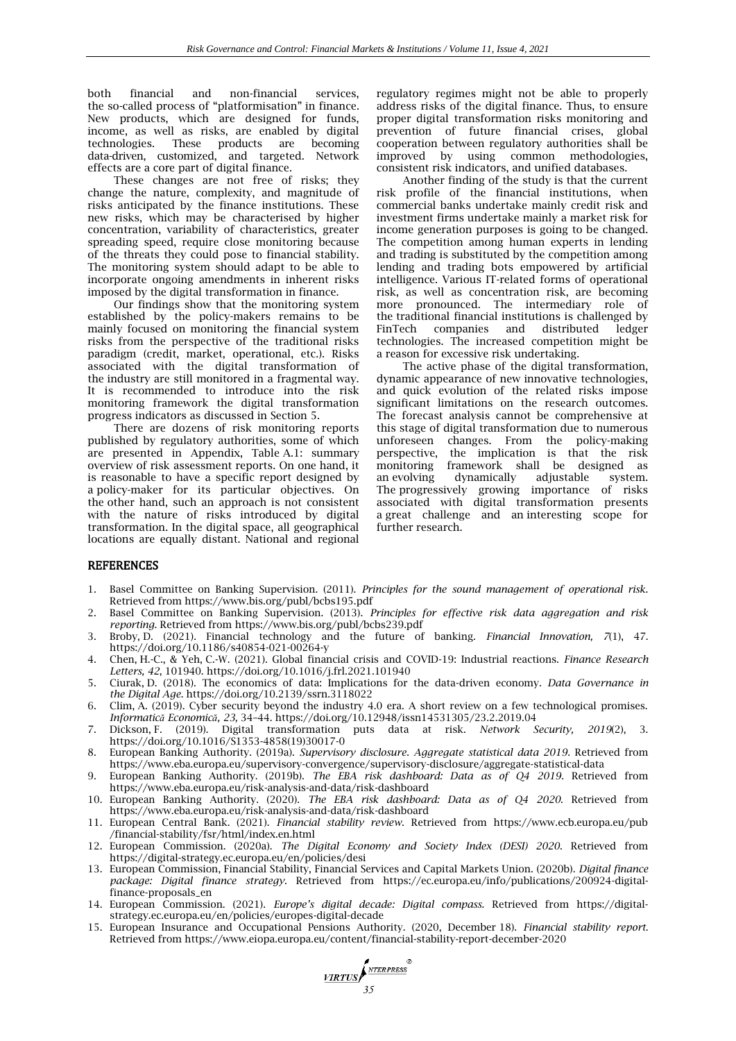both financial and non-financial services, the so-called process of "platformisation" in finance. New products, which are designed for funds, income, as well as risks, are enabled by digital technologies. These products are becoming data-driven, customized, and targeted. Network effects are a core part of digital finance.

These changes are not free of risks; they change the nature, complexity, and magnitude of risks anticipated by the finance institutions. These new risks, which may be characterised by higher concentration, variability of characteristics, greater spreading speed, require close monitoring because of the threats they could pose to financial stability. The monitoring system should adapt to be able to incorporate ongoing amendments in inherent risks imposed by the digital transformation in finance.

Our findings show that the monitoring system established by the policy-makers remains to be mainly focused on monitoring the financial system risks from the perspective of the traditional risks paradigm (credit, market, operational, etc.). Risks associated with the digital transformation of the industry are still monitored in a fragmental way. It is recommended to introduce into the risk monitoring framework the digital transformation progress indicators as discussed in Section 5.

There are dozens of risk monitoring reports published by regulatory authorities, some of which are presented in Appendix, Table A.1: summary overview of risk assessment reports. On one hand, it is reasonable to have a specific report designed by a policy-maker for its particular objectives. On the other hand, such an approach is not consistent with the nature of risks introduced by digital transformation. In the digital space, all geographical locations are equally distant. National and regional

regulatory regimes might not be able to properly address risks of the digital finance. Thus, to ensure proper digital transformation risks monitoring and prevention of future financial crises, global cooperation between regulatory authorities shall be improved by using common methodologies, consistent risk indicators, and unified databases.

Another finding of the study is that the current risk profile of the financial institutions, when commercial banks undertake mainly credit risk and investment firms undertake mainly a market risk for income generation purposes is going to be changed. The competition among human experts in lending and trading is substituted by the competition among lending and trading bots empowered by artificial intelligence. Various IT-related forms of operational risk, as well as concentration risk, are becoming more pronounced. The intermediary role of the traditional financial institutions is challenged by FinTech companies and distributed ledger technologies. The increased competition might be a reason for excessive risk undertaking.

The active phase of the digital transformation, dynamic appearance of new innovative technologies, and quick evolution of the related risks impose significant limitations on the research outcomes. The forecast analysis cannot be comprehensive at this stage of digital transformation due to numerous unforeseen changes. From the policy-making perspective, the implication is that the risk framework shall be designed as an evolving dynamically adjustable system. The progressively growing importance of risks associated with digital transformation presents a great challenge and an interesting scope for further research.

# **REFERENCES**

- 1. Basel Committee on Banking Supervision. (2011). *Principles for the sound management of operational risk*. Retrieved from <https://www.bis.org/publ/bcbs195.pdf>
- 2. Basel Committee on Banking Supervision. (2013). *Principles for effective risk data aggregation and risk reporting*. Retrieved from <https://www.bis.org/publ/bcbs239.pdf>
- 3. Broby, D. (2021). Financial technology and the future of banking. *Financial Innovation, 7*(1), 47. <https://doi.org/10.1186/s40854-021-00264-y>
- 4. Chen, H.-C., & Yeh, C.-W. (2021). Global financial crisis and COVID-19: Industrial reactions. *Finance Research Letters, 42*, 101940.<https://doi.org/10.1016/j.frl.2021.101940>
- 5. Ciurak, D. (2018). The economics of data: Implications for the data-driven economy. *Data Governance in the Digital Age*.<https://doi.org/10.2139/ssrn.3118022>
- 6. Clim, A. (2019). Cyber security beyond the industry 4.0 era. A short review on a few technological promises. *Informatică Economică, 23,* 34–44[. https://doi.org/10.12948/issn14531305/23.2.2019.04](https://doi.org/10.12948/issn14531305/23.2.2019.04)
- 7. Dickson, F. (2019). Digital transformation puts data at risk. *Network Security, 2019*(2), 3. [https://doi.org/10.1016/S1353-4858\(19\)30017-0](https://doi.org/10.1016/S1353-4858(19)30017-0)
- 8. European Banking Authority. (2019a). *Supervisory disclosure. Aggregate statistical data 2019*. Retrieved from <https://www.eba.europa.eu/supervisory-convergence/supervisory-disclosure/aggregate-statistical-data>
- 9. European Banking Authority. (2019b). *The EBA risk dashboard: Data as of Q4 2019*. Retrieved from <https://www.eba.europa.eu/risk-analysis-and-data/risk-dashboard>
- 10. European Banking Authority. (2020). *The EBA risk dashboard: Data as of Q4 2020*. Retrieved from <https://www.eba.europa.eu/risk-analysis-and-data/risk-dashboard>
- 11. European Central Bank. (2021). *Financial stability review*. Retrieved from [https://www.ecb.europa.eu/pub](https://www.ecb.europa.eu/pub/financial-stability/fsr/html/index.en.html) [/financial-stability/fsr/html/index.en.html](https://www.ecb.europa.eu/pub/financial-stability/fsr/html/index.en.html)
- 12. European Commission. (2020a). *The Digital Economy and Society Index (DESI) 2020*. Retrieved from <https://digital-strategy.ec.europa.eu/en/policies/desi>
- 13. European Commission, Financial Stability, Financial Services and Capital Markets Union. (2020b). *Digital finance package: Digital finance strategy*. Retrieved from [https://ec.europa.eu/info/publications/200924-digital](https://ec.europa.eu/info/publications/200924-digital-finance-proposals_en)[finance-proposals\\_en](https://ec.europa.eu/info/publications/200924-digital-finance-proposals_en)
- 14. European Commission. (2021). *Europe's digital decade: Digital compass.* Retrieved from [https://digital](https://digital-strategy.ec.europa.eu/en/policies/europes-digital-decade)[strategy.ec.europa.eu/en/policies/europes-digital-decade](https://digital-strategy.ec.europa.eu/en/policies/europes-digital-decade)
- 15. European Insurance and Occupational Pensions Authority. (2020, December 18). *Financial stability report*. Retrieved fro[m https://www.eiopa.europa.eu/content/financial-stability-report-december-2020](https://www.eiopa.europa.eu/content/financial-stability-report-december-2020)

**17RTUS**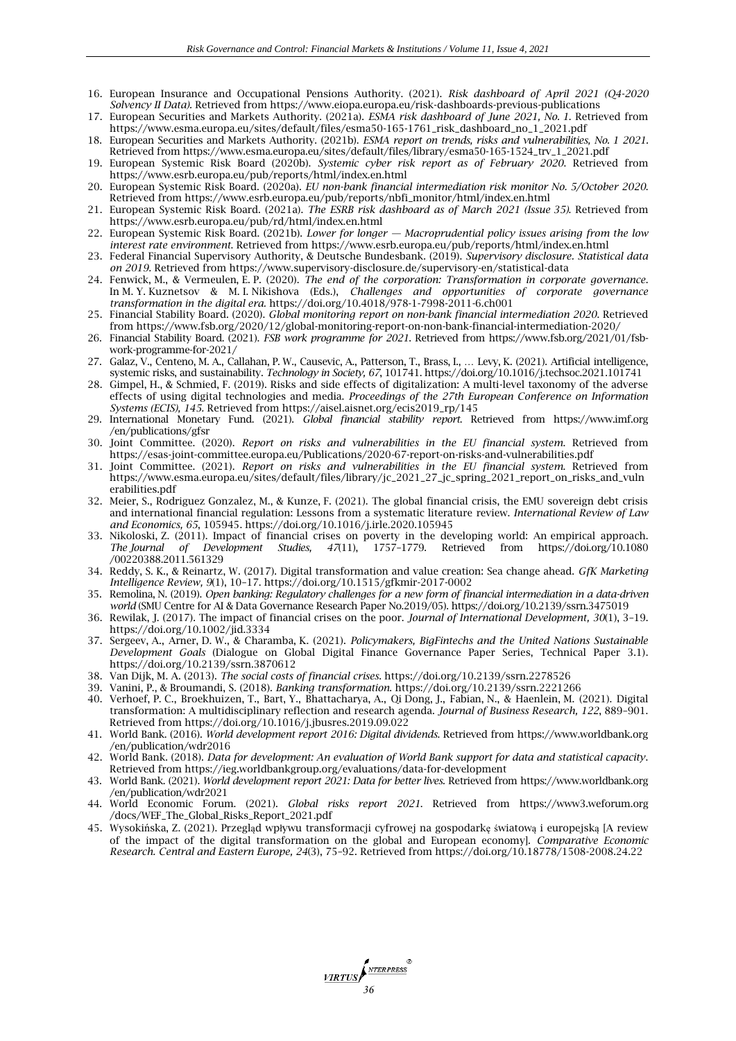- 16. European Insurance and Occupational Pensions Authority. (2021). *Risk dashboard of April 2021 (Q4-2020 Solvency II Data).* Retrieved fro[m https://www.eiopa.europa.eu/risk-dashboards-previous-publications](https://www.eiopa.europa.eu/risk-dashboards-previous-publications)
- 17. European Securities and Markets Authority. (2021a). *ESMA risk dashboard of June 2021, No. 1*. Retrieved from https://www.esma.europa.eu/sites/default/files/esma50-165-1761\_risk\_dashboard\_no\_1\_2021.pdf
- 18. European Securities and Markets Authority. (2021b). *ESMA report on trends, risks and vulnerabilities, No. 1 2021.* Retrieved from [https://www.esma.europa.eu/sites/default/files/library/esma50-165-1524\\_trv\\_1\\_2021.pdf](https://www.esma.europa.eu/sites/default/files/library/esma50-165-1524_trv_1_2021.pdf)
- 19. European Systemic Risk Board (2020b). *Systemic cyber risk report as of February 2020*. Retrieved from <https://www.esrb.europa.eu/pub/reports/html/index.en.html>
- 20. European Systemic Risk Board. (2020a). *EU non-bank financial intermediation risk monitor No. 5/October 2020*. Retrieved fro[m https://www.esrb.europa.eu/pub/reports/nbfi\\_monitor/html/index.en.html](https://www.esrb.europa.eu/pub/reports/nbfi_monitor/html/index.en.html)
- 21. European Systemic Risk Board. (2021a). *The ESRB risk dashboard as of March 2021 (Issue 35)*. Retrieved from <https://www.esrb.europa.eu/pub/rd/html/index.en.html>
- 22. European Systemic Risk Board. (2021b). *Lower for longer — Macroprudential policy issues arising from the low interest rate environment*. Retrieved from<https://www.esrb.europa.eu/pub/reports/html/index.en.html>
- 23. Federal Financial Supervisory Authority, & Deutsche Bundesbank. (2019). *Supervisory disclosure. Statistical data on 2019.* Retrieved from <https://www.supervisory-disclosure.de/supervisory-en/statistical-data>
- 24. Fenwick, M., & Vermeulen, E. P. (2020). *The end of the corporation: Transformation in corporate governance*. In M. Y. Kuznetsov & M. I. Nikishova (Eds.), *Challenges and opportunities of corporate governance transformation in the digital era.* <https://doi.org/10.4018/978-1-7998-2011-6.ch001>
- 25. Financial Stability Board. (2020). *Global monitoring report on non-bank financial intermediation 2020*. Retrieved from<https://www.fsb.org/2020/12/global-monitoring-report-on-non-bank-financial-intermediation-2020/>
- 26. Financial Stability Board. (2021). *FSB work programme for 2021*. Retrieved from [https://www.fsb.org/2021/01/fsb](https://www.fsb.org/2021/01/fsb-work-programme-for-2021/)[work-programme-for-2021/](https://www.fsb.org/2021/01/fsb-work-programme-for-2021/)
- 27. Galaz, V., Centeno, M. A., Callahan, P. W., Causevic, A., Patterson, T., Brass, I., … Levy, K. (2021). Artificial intelligence, systemic risks, and sustainability. *Technology in Society, 67*, 101741[. https://doi.org/10.1016/j.techsoc.2021.101741](https://doi.org/10.1016/j.techsoc.2021.101741)
- 28. Gimpel, H., & Schmied, F. (2019). Risks and side effects of digitalization: A multi-level taxonomy of the adverse effects of using digital technologies and media. *Proceedings of the 27th European Conference on Information Systems (ECIS), 145.* Retrieved from [https://aisel.aisnet.org/ecis2019\\_rp/145](https://aisel.aisnet.org/ecis2019_rp/145)
- 29. International Monetary Fund. (2021). *Global financial stability report*. Retrieved from [https://www.imf.org](https://www.imf.org/en/publications/gfsr) [/en/publications/gfsr](https://www.imf.org/en/publications/gfsr)
- 30. Joint Committee. (2020). *Report on risks and vulnerabilities in the EU financial system*. Retrieved from <https://esas-joint-committee.europa.eu/Publications/2020-67-report-on-risks-and-vulnerabilities.pdf>
- 31. Joint Committee. (2021). *Report on risks and vulnerabilities in the EU financial system*. Retrieved from [https://www.esma.europa.eu/sites/default/files/library/jc\\_2021\\_27\\_jc\\_spring\\_2021\\_report\\_on\\_risks\\_and\\_vuln](https://www.esma.europa.eu/sites/default/files/library/jc_2021_27_jc_spring_2021_report_on_risks_and_vulnerabilities.pdf) [erabilities.pdf](https://www.esma.europa.eu/sites/default/files/library/jc_2021_27_jc_spring_2021_report_on_risks_and_vulnerabilities.pdf)
- 32. Meier, S., Rodriguez Gonzalez, M., & Kunze, F. (2021). The global financial crisis, the EMU sovereign debt crisis and international financial regulation: Lessons from a systematic literature review. *International Review of Law and Economics, 65*, 105945[. https://doi.org/10.1016/j.irle.2020.105945](https://doi.org/10.1016/j.irle.2020.105945)
- 33. Nikoloski, Z. (2011). Impact of financial crises on poverty in the developing world: An empirical approach.<br>The Journal of Development Studies, 47(11), 1757-1779. Retrieved from https://doi.org/10.1080 *The Journal of Development Studies, 47*(11), 1757–1779. Retrieved from [https://doi.org/10.1080](https://doi.org/10.1080/00220388.2011.561329) [/00220388.2011.561329](https://doi.org/10.1080/00220388.2011.561329)
- 34. Reddy, S. K., & Reinartz, W. (2017). Digital transformation and value creation: Sea change ahead. *GfK Marketing Intelligence Review, 9*(1), 10–17[. https://doi.org/10.1515/gfkmir-2017-0002](https://doi.org/10.1515/gfkmir-2017-0002)
- 35. Remolina, N. (2019). *Open banking: Regulatory challenges for a new form of financial intermediation in a data-driven world* (SMU Centre for AI & Data Governance Research Paper No.2019/05)[. https://doi.org/10.2139/ssrn.3475019](https://doi.org/10.2139/ssrn.3475019)
- 36. Rewilak, J. (2017). The impact of financial crises on the poor. *Journal of International Development, 30*(1), 3–19. <https://doi.org/10.1002/jid.3334>
- 37. Sergeev, A., Arner, D. W., & Charamba, K. (2021). *Policymakers, BigFintechs and the United Nations Sustainable Development Goals* (Dialogue on Global Digital Finance Governance Paper Series, Technical Paper 3.1). <https://doi.org/10.2139/ssrn.3870612>
- 38. Van Dijk, M. A. (2013). *The social costs of financial crises*.<https://doi.org/10.2139/ssrn.2278526>
- 39. Vanini, P., & Broumandi, S. (2018). *Banking transformation*[. https://doi.org/10.2139/ssrn.2221266](https://doi.org/10.2139/ssrn.2221266)
- 40. Verhoef, P. C., Broekhuizen, T., Bart, Y., Bhattacharya, A., Qi Dong, J., Fabian, N., & Haenlein, M. (2021). Digital transformation: A multidisciplinary reflection and research agenda. *Journal of Business Research, 122*, 889–901. Retrieved from <https://doi.org/10.1016/j.jbusres.2019.09.022>
- 41. World Bank. (2016). *World development report 2016: Digital dividends*. Retrieved from [https://www.worldbank.org](https://www.worldbank.org/en/publication/wdr2016) [/en/publication/wdr2016](https://www.worldbank.org/en/publication/wdr2016)
- 42. World Bank. (2018). *Data for development: An evaluation of World Bank support for data and statistical capacity*. Retrieved fro[m https://ieg.worldbankgroup.org/evaluations/data-for-development](https://ieg.worldbankgroup.org/evaluations/data-for-development)
- 43. World Bank. (2021). *World development report 2021: Data for better lives*. Retrieved from [https://www.worldbank.org](https://www.worldbank.org/en/publication/wdr2021) [/en/publication/wdr2021](https://www.worldbank.org/en/publication/wdr2021)
- 44. World Economic Forum. (2021). *Global risks report 2021*. Retrieved from [https://www3.weforum.org](https://www3.weforum.org/docs/WEF_The_Global_Risks_Report_2021.pdf) [/docs/WEF\\_The\\_Global\\_Risks\\_Report\\_2021.pdf](https://www3.weforum.org/docs/WEF_The_Global_Risks_Report_2021.pdf)
- 45. Wysokińska, Z. (2021). Przegląd wpływu transformacji cyfrowej na gospodarkę światową i europejską [A review of the impact of the digital transformation on the global and European economy]. *Comparative Economic Research. Central and Eastern Europe, 24*(3), 75–92. Retrieved from<https://doi.org/10.18778/1508-2008.24.22>

*VIRTUS*